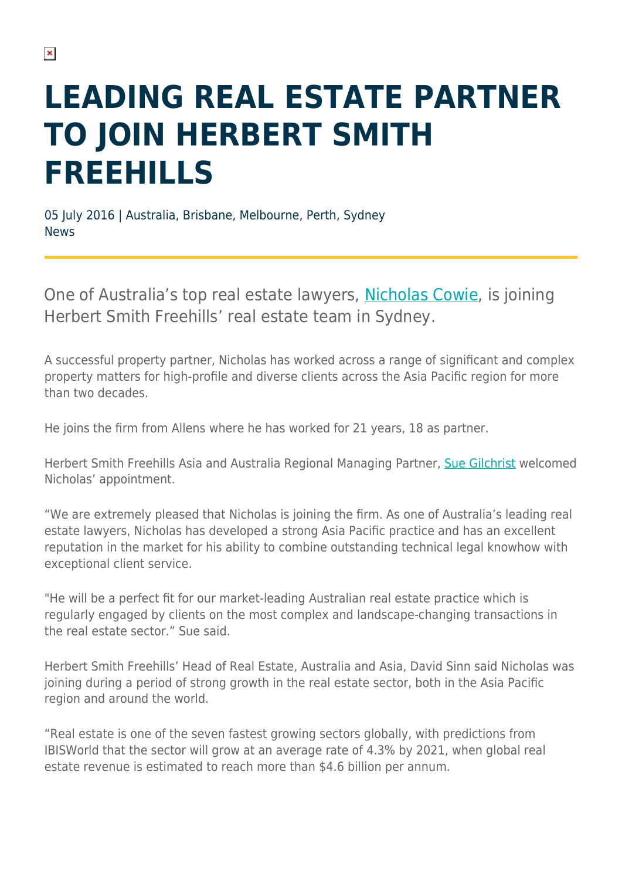## **LEADING REAL ESTATE PARTNER TO JOIN HERBERT SMITH FREEHILLS**

05 July 2016 | Australia, Brisbane, Melbourne, Perth, Sydney News

One of Australia's top real estate lawyers, [Nicholas Cowie,](https://www.herbertsmithfreehills.com/our-people/nicholas-cowie) is joining Herbert Smith Freehills' real estate team in Sydney.

A successful property partner, Nicholas has worked across a range of significant and complex property matters for high-profile and diverse clients across the Asia Pacific region for more than two decades.

He joins the firm from Allens where he has worked for 21 years, 18 as partner.

Herbert Smith Freehills Asia and Australia Regional Managing Partner, [Sue Gilchrist](https://www.herbertsmithfreehills.com/our-people/sue-gilchrist) welcomed Nicholas' appointment.

"We are extremely pleased that Nicholas is joining the firm. As one of Australia's leading real estate lawyers, Nicholas has developed a strong Asia Pacific practice and has an excellent reputation in the market for his ability to combine outstanding technical legal knowhow with exceptional client service.

"He will be a perfect fit for our market-leading Australian real estate practice which is regularly engaged by clients on the most complex and landscape-changing transactions in the real estate sector." Sue said.

Herbert Smith Freehills' Head of Real Estate, Australia and Asia, David Sinn said Nicholas was joining during a period of strong growth in the real estate sector, both in the Asia Pacific region and around the world.

"Real estate is one of the seven fastest growing sectors globally, with predictions from IBISWorld that the sector will grow at an average rate of 4.3% by 2021, when global real estate revenue is estimated to reach more than \$4.6 billion per annum.